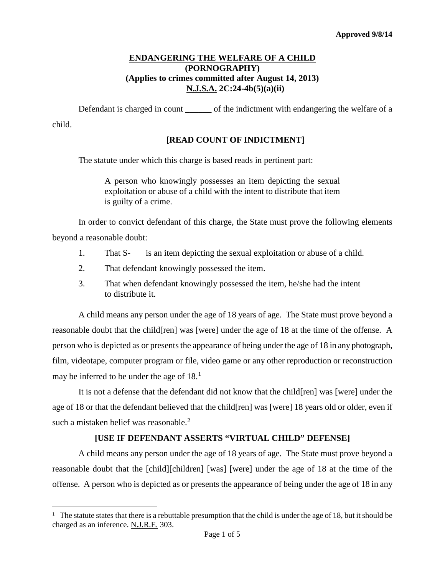### **ENDANGERING THE WELFARE OF A CHILD (PORNOGRAPHY) (Applies to crimes committed after August 14, 2013) N.J.S.A. 2C:24-4b(5)(a)(ii)**

Defendant is charged in count of the indictment with endangering the welfare of a child.

### **[READ COUNT OF INDICTMENT]**

The statute under which this charge is based reads in pertinent part:

A person who knowingly possesses an item depicting the sexual exploitation or abuse of a child with the intent to distribute that item is guilty of a crime.

In order to convict defendant of this charge, the State must prove the following elements beyond a reasonable doubt:

- 1. That S- is an item depicting the sexual exploitation or abuse of a child.
- 2. That defendant knowingly possessed the item.
- 3. That when defendant knowingly possessed the item, he/she had the intent to distribute it.

A child means any person under the age of 18 years of age. The State must prove beyond a reasonable doubt that the child[ren] was [were] under the age of 18 at the time of the offense. A person who is depicted as or presents the appearance of being under the age of 18 in any photograph, film, videotape, computer program or file, video game or any other reproduction or reconstruction may be inferred to be under the age of  $18<sup>1</sup>$  $18<sup>1</sup>$ 

It is not a defense that the defendant did not know that the child[ren] was [were] under the age of 18 or that the defendant believed that the child[ren] was [were] 18 years old or older, even if such a mistaken belief was reasonable.<sup>[2](#page-0-1)</sup>

### **[USE IF DEFENDANT ASSERTS "VIRTUAL CHILD" DEFENSE]**

<span id="page-0-1"></span>A child means any person under the age of 18 years of age. The State must prove beyond a reasonable doubt that the [child][children] [was] [were] under the age of 18 at the time of the offense. A person who is depicted as or presents the appearance of being under the age of 18 in any

<span id="page-0-0"></span><sup>&</sup>lt;sup>1</sup> The statute states that there is a rebuttable presumption that the child is under the age of 18, but it should be charged as an inference. N.J.R.E. 303. ī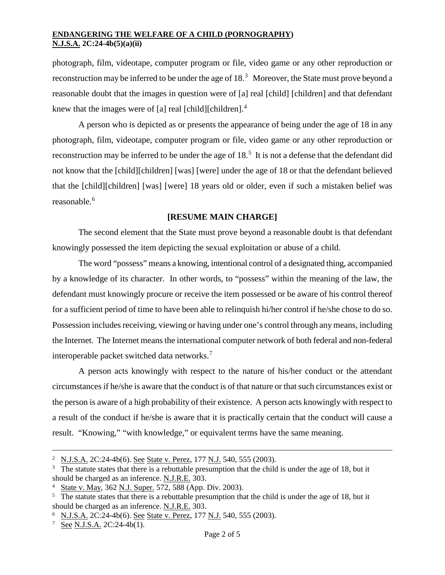photograph, film, videotape, computer program or file, video game or any other reproduction or reconstruction may be inferred to be under the age of  $18.<sup>3</sup>$  $18.<sup>3</sup>$  $18.<sup>3</sup>$  Moreover, the State must prove beyond a reasonable doubt that the images in question were of [a] real [child] [children] and that defendant knew that the images were of [a] real [child][children].<sup>[4](#page-1-1)</sup>

A person who is depicted as or presents the appearance of being under the age of 18 in any photograph, film, videotape, computer program or file, video game or any other reproduction or reconstruction may be inferred to be under the age of 18.<sup>[5](#page-1-2)</sup> It is not a defense that the defendant did not know that the [child][children] [was] [were] under the age of 18 or that the defendant believed that the [child][children] [was] [were] 18 years old or older, even if such a mistaken belief was reasonable.<sup>[6](#page-1-3)</sup>

### **[RESUME MAIN CHARGE]**

The second element that the State must prove beyond a reasonable doubt is that defendant knowingly possessed the item depicting the sexual exploitation or abuse of a child.

The word "possess" means a knowing, intentional control of a designated thing, accompanied by a knowledge of its character. In other words, to "possess" within the meaning of the law, the defendant must knowingly procure or receive the item possessed or be aware of his control thereof for a sufficient period of time to have been able to relinquish hi/her control if he/she chose to do so. Possession includes receiving, viewing or having under one's control through any means, including the Internet. The Internet means the international computer network of both federal and non-federal interoperable packet switched data networks.[7](#page-1-4)

A person acts knowingly with respect to the nature of his/her conduct or the attendant circumstances if he/she is aware that the conduct is of that nature or that such circumstances exist or the person is aware of a high probability of their existence. A person acts knowingly with respect to a result of the conduct if he/she is aware that it is practically certain that the conduct will cause a result. "Knowing," "with knowledge," or equivalent terms have the same meaning.

<sup>&</sup>lt;sup>2</sup> N.J.S.A. 2C:24-4b(6). See State v. Perez, 177 N.J. 540, 555 (2003). Ĩ.

<span id="page-1-0"></span> $3\text{}$  The statute states that there is a rebuttable presumption that the child is under the age of 18, but it should be charged as an inference. N.J.R.E. 303.

<span id="page-1-1"></span><sup>4</sup> State v. May, 362 N.J. Super. 572, 588 (App. Div. 2003).

<span id="page-1-2"></span> $5$  The statute states that there is a rebuttable presumption that the child is under the age of 18, but it should be charged as an inference. N.J.R.E. 303.

<span id="page-1-3"></span><sup>&</sup>lt;sup>6</sup> N.J.S.A. 2C:24-4b(6). See State v. Perez, 177 N.J. 540, 555 (2003).

<span id="page-1-4"></span><sup>7</sup> See N.J.S.A. 2C:24-4b(1).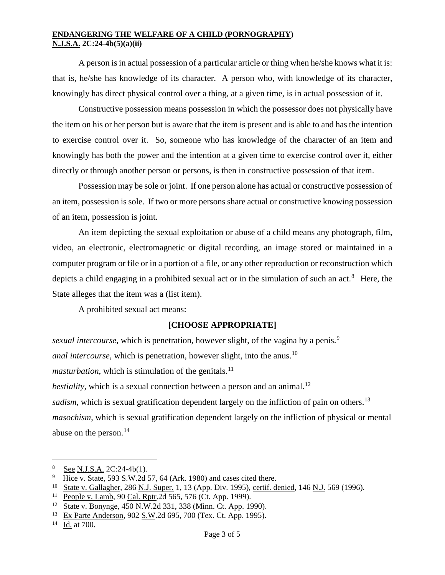A person is in actual possession of a particular article or thing when he/she knows what it is: that is, he/she has knowledge of its character. A person who, with knowledge of its character, knowingly has direct physical control over a thing, at a given time, is in actual possession of it.

Constructive possession means possession in which the possessor does not physically have the item on his or her person but is aware that the item is present and is able to and has the intention to exercise control over it. So, someone who has knowledge of the character of an item and knowingly has both the power and the intention at a given time to exercise control over it, either directly or through another person or persons, is then in constructive possession of that item.

Possession may be sole or joint. If one person alone has actual or constructive possession of an item, possession is sole. If two or more persons share actual or constructive knowing possession of an item, possession is joint.

An item depicting the sexual exploitation or abuse of a child means any photograph, film, video, an electronic, electromagnetic or digital recording, an image stored or maintained in a computer program or file or in a portion of a file, or any other reproduction or reconstruction which depicts a child engaging in a prohibited sexual act or in the simulation of such an act.<sup>[8](#page-2-0)</sup> Here, the State alleges that the item was a (list item).

A prohibited sexual act means:

# **[CHOOSE APPROPRIATE]**

*sexual intercourse*, which is penetration, however slight, of the vagina by a penis.<sup>[9](#page-2-1)</sup> *anal intercourse*, which is penetration, however slight, into the anus.<sup>[10](#page-2-2)</sup> *masturbation*, which is stimulation of the genitals.<sup>[11](#page-2-3)</sup> *bestiality*, which is a sexual connection between a person and an animal.<sup>12</sup> *sadism*, which is sexual gratification dependent largely on the infliction of pain on others.<sup>[13](#page-2-5)</sup> *masochism*, which is sexual gratification dependent largely on the infliction of physical or mental abuse on the person.<sup>[14](#page-2-6)</sup>

<span id="page-2-0"></span> $\frac{8}{9}$  See N.J.S.A. 2C:24-4b(1). Ĩ.

<span id="page-2-1"></span>Hice v. State, 593 S.W.2d 57, 64 (Ark. 1980) and cases cited there.

<span id="page-2-2"></span><sup>&</sup>lt;sup>10</sup> State v. Gallagher, 286 N.J. Super. 1, 13 (App. Div. 1995), certif. denied, 146 N.J. 569 (1996).

<span id="page-2-3"></span><sup>11</sup> People v. Lamb, 90 Cal. Rptr.2d 565, 576 (Ct. App. 1999).

<span id="page-2-4"></span><sup>&</sup>lt;sup>12</sup> State v. Bonynge, 450 N.W. 2d 331, 338 (Minn. Ct. App. 1990).

<span id="page-2-5"></span><sup>13</sup> Ex Parte Anderson, 902 S.W.2d 695, 700 (Tex. Ct. App. 1995).

<span id="page-2-6"></span><sup>14</sup> Id. at 700.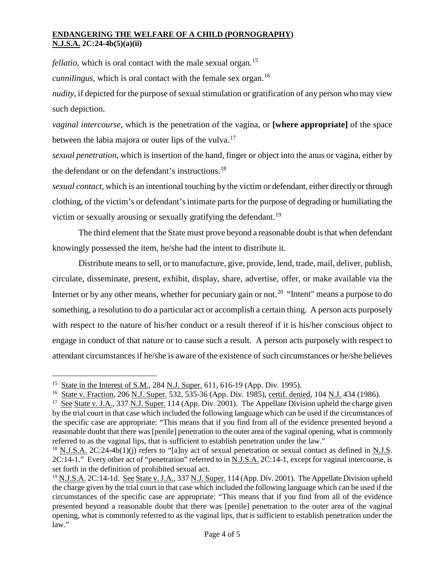*fellatio*, which is oral contact with the male sexual organ.<sup>[15](#page-3-0)</sup>

*cunnilingus*, which is oral contact with the female sex organ.<sup>[16](#page-3-1)</sup>

*nudity*, if depicted for the purpose of sexual stimulation or gratification of any person who may view such depiction.

*vaginal intercourse*, which is the penetration of the vagina, or **[where appropriate]** of the space between the labia majora or outer lips of the vulva.<sup>[17](#page-3-2)</sup>

*sexual penetration*, which is insertion of the hand, finger or object into the anus or vagina, either by the defendant or on the defendant's instructions.<sup>[18](#page-3-3)</sup>

*sexual contact*, which is an intentional touching by the victim or defendant, either directly or through clothing, of the victim's or defendant's intimate parts for the purpose of degrading or humiliating the victim or sexually arousing or sexually gratifying the defendant.<sup>[19](#page-3-4)</sup>

The third element that the State must prove beyond a reasonable doubt is that when defendant knowingly possessed the item, he/she had the intent to distribute it.

Distribute means to sell, or to manufacture, give, provide, lend, trade, mail, deliver, publish, circulate, disseminate, present, exhibit, display, share, advertise, offer, or make available via the Internet or by any other means, whether for pecuniary gain or not.<sup>20</sup> "Intent" means a purpose to do something, a resolution to do a particular act or accomplish a certain thing. A person acts purposely with respect to the nature of his/her conduct or a result thereof if it is his/her conscious object to engage in conduct of that nature or to cause such a result. A person acts purposely with respect to attendant circumstances if he/she is aware of the existence of such circumstances or he/she believes

<span id="page-3-0"></span><sup>&</sup>lt;sup>15</sup> State in the Interest of S.M., 284 N.J. Super. 611, 616-19 (App. Div. 1995). Ĩ.

<span id="page-3-1"></span><sup>16</sup> State v. Fraction, 206 N.J. Super. 532, 535-36 (App. Div. 1985), certif. denied, 104 N.J. 434 (1986).

<span id="page-3-2"></span><sup>&</sup>lt;sup>17</sup> See State v. J.A., 337 N.J. Super. 114 (App. Div. 2001). The Appellate Division upheld the charge given by the trial court in that case which included the following language which can be used if the circumstances of the specific case are appropriate: "This means that if you find from all of the evidence presented beyond a reasonable doubt that there was [penile] penetration to the outer area of the vaginal opening, what is commonly referred to as the vaginal lips, that is sufficient to establish penetration under the law."

<span id="page-3-3"></span><sup>&</sup>lt;sup>18</sup> N.J.S.A. 2C:24-4b(1)(j) refers to "[a]ny act of sexual penetration or sexual contact as defined in N.J.S. 2C:14-1." Every other act of "penetration" referred to in N.J.S.A. 2C:14-1, except for vaginal intercourse, is set forth in the definition of prohibited sexual act.

<span id="page-3-5"></span><span id="page-3-4"></span><sup>&</sup>lt;sup>19</sup> N.J.S.A. 2C:14-1d. See State v. J.A., 337 N.J. Super. 114 (App. Div. 2001). The Appellate Division upheld the charge given by the trial court in that case which included the following language which can be used if the circumstances of the specific case are appropriate: "This means that if you find from all of the evidence presented beyond a reasonable doubt that there was [penile] penetration to the outer area of the vaginal opening, what is commonly referred to as the vaginal lips, that is sufficient to establish penetration under the law."